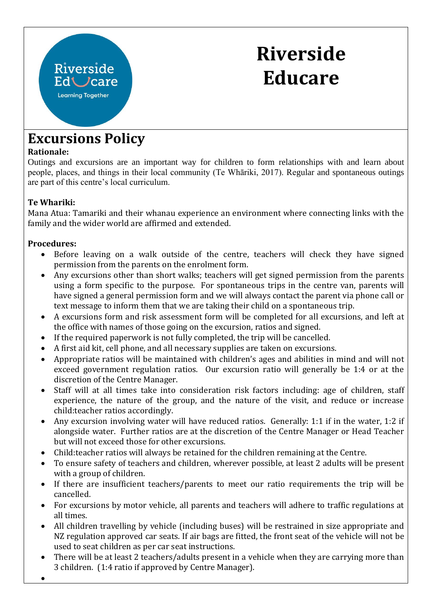# **Riverside Educare**

## **Excursions Policy**

Riverside

Ed Care **Learning Together** 

#### **Rationale:**

Outings and excursions are an important way for children to form relationships with and learn about people, places, and things in their local community (Te Whāriki, 2017). Regular and spontaneous outings are part of this centre's local curriculum.

### **Te Whariki:**

Mana Atua: Tamariki and their whanau experience an environment where connecting links with the family and the wider world are affirmed and extended.

#### **Procedures:**

- Before leaving on a walk outside of the centre, teachers will check they have signed permission from the parents on the enrolment form.
- Any excursions other than short walks; teachers will get signed permission from the parents using a form specific to the purpose. For spontaneous trips in the centre van, parents will have signed a general permission form and we will always contact the parent via phone call or text message to inform them that we are taking their child on a spontaneous trip.
- A excursions form and risk assessment form will be completed for all excursions, and left at the office with names of those going on the excursion, ratios and signed.
- If the required paperwork is not fully completed, the trip will be cancelled.
- A first aid kit, cell phone, and all necessary supplies are taken on excursions.
- Appropriate ratios will be maintained with children's ages and abilities in mind and will not exceed government regulation ratios. Our excursion ratio will generally be 1:4 or at the discretion of the Centre Manager.
- Staff will at all times take into consideration risk factors including: age of children, staff experience, the nature of the group, and the nature of the visit, and reduce or increase child:teacher ratios accordingly.
- Any excursion involving water will have reduced ratios. Generally: 1:1 if in the water, 1:2 if alongside water. Further ratios are at the discretion of the Centre Manager or Head Teacher but will not exceed those for other excursions.
- Child:teacher ratios will always be retained for the children remaining at the Centre.
- To ensure safety of teachers and children, wherever possible, at least 2 adults will be present with a group of children.
- If there are insufficient teachers/parents to meet our ratio requirements the trip will be cancelled.
- For excursions by motor vehicle, all parents and teachers will adhere to traffic regulations at all times.
- All children travelling by vehicle (including buses) will be restrained in size appropriate and NZ regulation approved car seats. If air bags are fitted, the front seat of the vehicle will not be used to seat children as per car seat instructions.
- There will be at least 2 teachers/adults present in a vehicle when they are carrying more than 3 children. (1:4 ratio if approved by Centre Manager).
- •